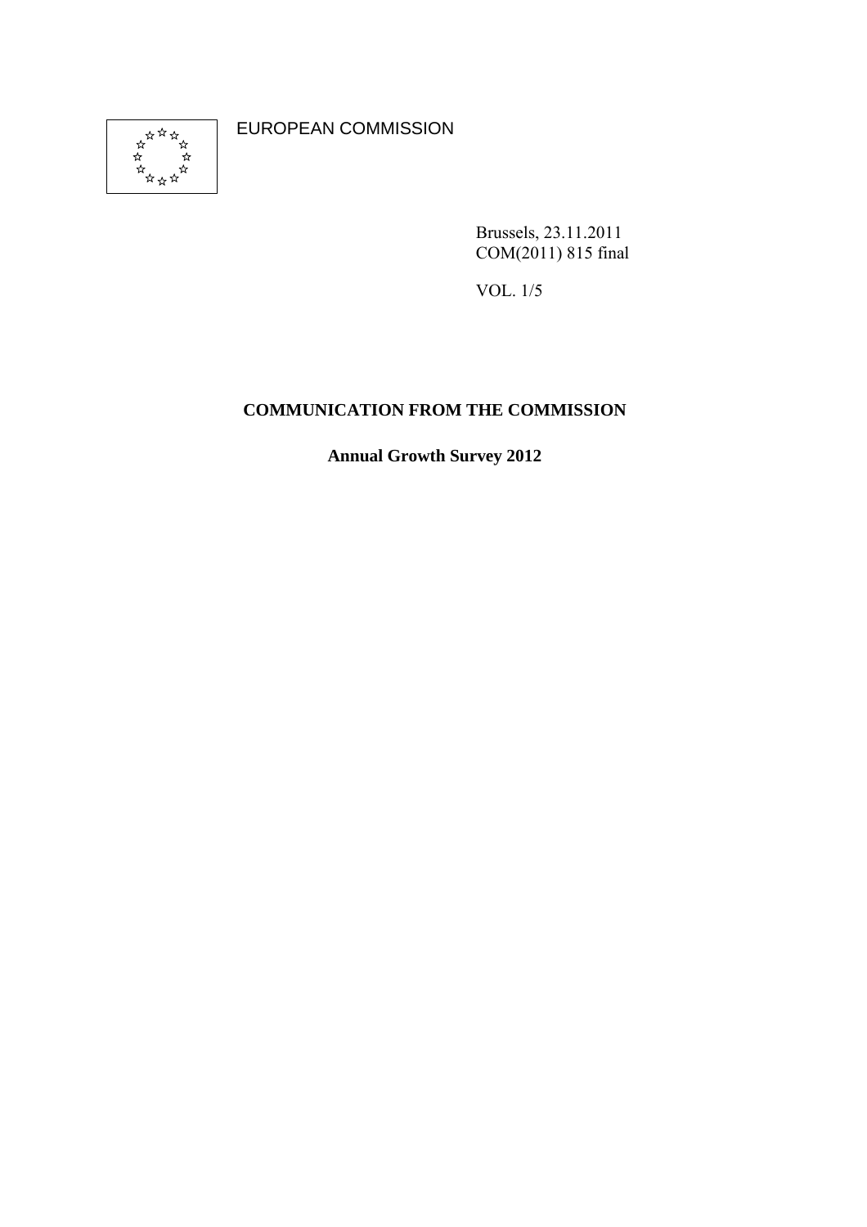

EUROPEAN COMMISSION

Brussels, 23.11.2011 COM(2011) 815 final

VOL. 1/5

# **COMMUNICATION FROM THE COMMISSION**

**Annual Growth Survey 2012**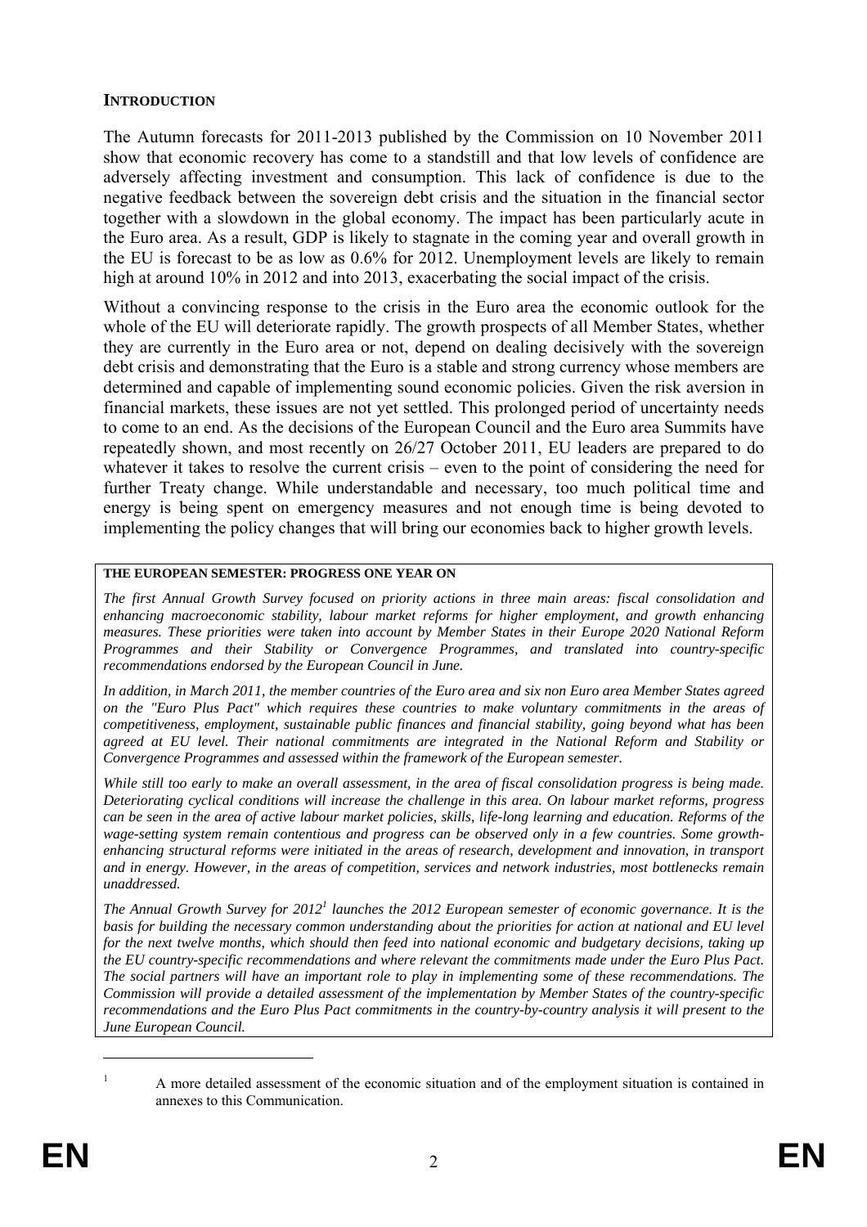#### **INTRODUCTION**

The Autumn forecasts for 2011-2013 published by the Commission on 10 November 2011 show that economic recovery has come to a standstill and that low levels of confidence are adversely affecting investment and consumption. This lack of confidence is due to the negative feedback between the sovereign debt crisis and the situation in the financial sector together with a slowdown in the global economy. The impact has been particularly acute in the Euro area. As a result, GDP is likely to stagnate in the coming year and overall growth in the EU is forecast to be as low as 0.6% for 2012. Unemployment levels are likely to remain high at around 10% in 2012 and into 2013, exacerbating the social impact of the crisis.

Without a convincing response to the crisis in the Euro area the economic outlook for the whole of the EU will deteriorate rapidly. The growth prospects of all Member States, whether they are currently in the Euro area or not, depend on dealing decisively with the sovereign debt crisis and demonstrating that the Euro is a stable and strong currency whose members are determined and capable of implementing sound economic policies. Given the risk aversion in financial markets, these issues are not yet settled. This prolonged period of uncertainty needs to come to an end. As the decisions of the European Council and the Euro area Summits have repeatedly shown, and most recently on 26/27 October 2011, EU leaders are prepared to do whatever it takes to resolve the current crisis – even to the point of considering the need for further Treaty change. While understandable and necessary, too much political time and energy is being spent on emergency measures and not enough time is being devoted to implementing the policy changes that will bring our economies back to higher growth levels.

#### **THE EUROPEAN SEMESTER: PROGRESS ONE YEAR ON**

*The first Annual Growth Survey focused on priority actions in three main areas: fiscal consolidation and enhancing macroeconomic stability, labour market reforms for higher employment, and growth enhancing measures. These priorities were taken into account by Member States in their Europe 2020 National Reform Programmes and their Stability or Convergence Programmes, and translated into country-specific recommendations endorsed by the European Council in June.* 

*In addition, in March 2011, the member countries of the Euro area and six non Euro area Member States agreed on the "Euro Plus Pact" which requires these countries to make voluntary commitments in the areas of competitiveness, employment, sustainable public finances and financial stability, going beyond what has been agreed at EU level. Their national commitments are integrated in the National Reform and Stability or Convergence Programmes and assessed within the framework of the European semester.* 

*While still too early to make an overall assessment, in the area of fiscal consolidation progress is being made. Deteriorating cyclical conditions will increase the challenge in this area. On labour market reforms, progress can be seen in the area of active labour market policies, skills, life-long learning and education. Reforms of the wage-setting system remain contentious and progress can be observed only in a few countries. Some growthenhancing structural reforms were initiated in the areas of research, development and innovation, in transport and in energy. However, in the areas of competition, services and network industries, most bottlenecks remain unaddressed.* 

The Annual Growth Survey for 2012<sup>1</sup> launches the 2012 European semester of economic governance. It is the *basis for building the necessary common understanding about the priorities for action at national and EU level for the next twelve months, which should then feed into national economic and budgetary decisions, taking up the EU country-specific recommendations and where relevant the commitments made under the Euro Plus Pact. The social partners will have an important role to play in implementing some of these recommendations. The Commission will provide a detailed assessment of the implementation by Member States of the country-specific recommendations and the Euro Plus Pact commitments in the country-by-country analysis it will present to the June European Council.* 

A more detailed assessment of the economic situation and of the employment situation is contained in annexes to this Communication.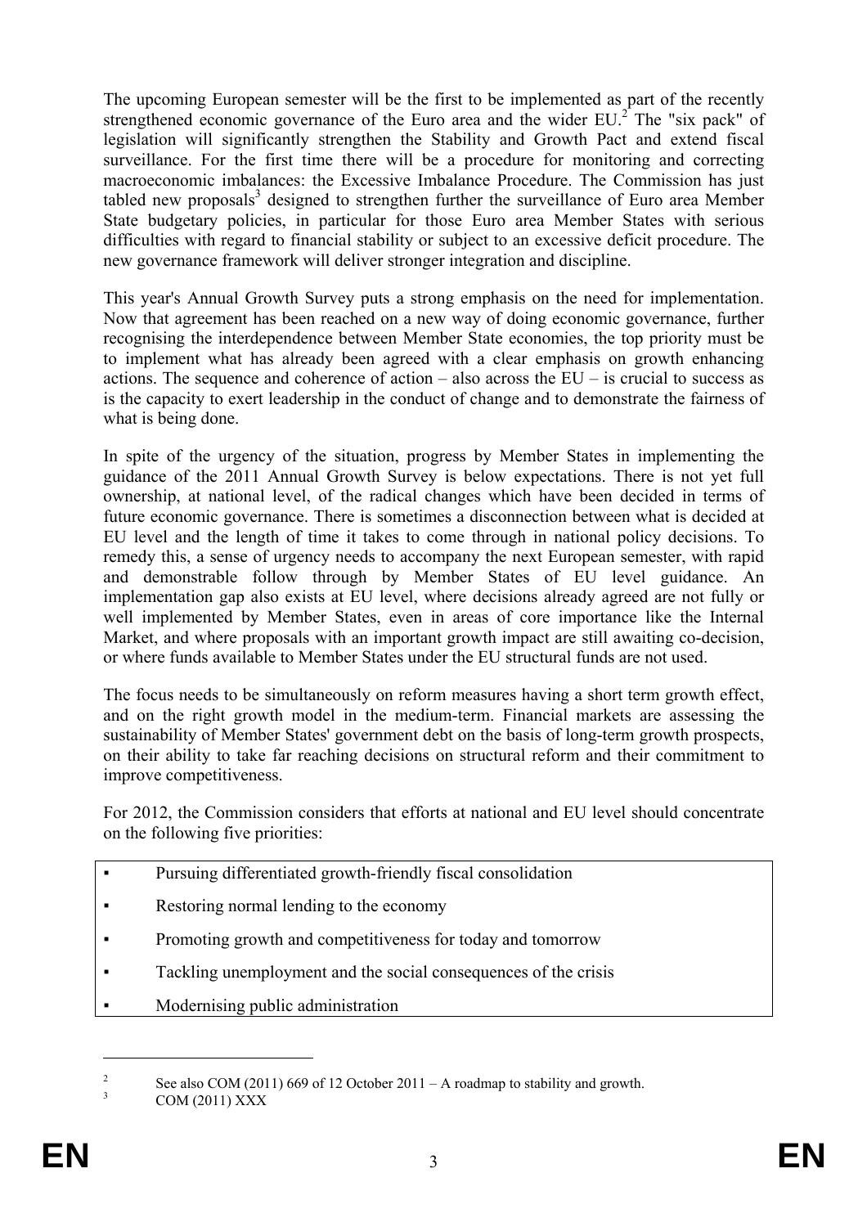The upcoming European semester will be the first to be implemented as part of the recently strengthened economic governance of the Euro area and the wider  $EU^2$ . The "six pack" of legislation will significantly strengthen the Stability and Growth Pact and extend fiscal surveillance. For the first time there will be a procedure for monitoring and correcting macroeconomic imbalances: the Excessive Imbalance Procedure. The Commission has just tabled new proposals<sup>3</sup> designed to strengthen further the surveillance of Euro area Member State budgetary policies, in particular for those Euro area Member States with serious difficulties with regard to financial stability or subject to an excessive deficit procedure. The new governance framework will deliver stronger integration and discipline.

This year's Annual Growth Survey puts a strong emphasis on the need for implementation. Now that agreement has been reached on a new way of doing economic governance, further recognising the interdependence between Member State economies, the top priority must be to implement what has already been agreed with a clear emphasis on growth enhancing actions. The sequence and coherence of action – also across the  $EU$  – is crucial to success as is the capacity to exert leadership in the conduct of change and to demonstrate the fairness of what is being done.

In spite of the urgency of the situation, progress by Member States in implementing the guidance of the 2011 Annual Growth Survey is below expectations. There is not yet full ownership, at national level, of the radical changes which have been decided in terms of future economic governance. There is sometimes a disconnection between what is decided at EU level and the length of time it takes to come through in national policy decisions. To remedy this, a sense of urgency needs to accompany the next European semester, with rapid and demonstrable follow through by Member States of EU level guidance. An implementation gap also exists at EU level, where decisions already agreed are not fully or well implemented by Member States, even in areas of core importance like the Internal Market, and where proposals with an important growth impact are still awaiting co-decision, or where funds available to Member States under the EU structural funds are not used.

The focus needs to be simultaneously on reform measures having a short term growth effect, and on the right growth model in the medium-term. Financial markets are assessing the sustainability of Member States' government debt on the basis of long-term growth prospects, on their ability to take far reaching decisions on structural reform and their commitment to improve competitiveness.

For 2012, the Commission considers that efforts at national and EU level should concentrate on the following five priorities:

- Pursuing differentiated growth-friendly fiscal consolidation
- Restoring normal lending to the economy
- Promoting growth and competitiveness for today and tomorrow
- Tackling unemployment and the social consequences of the crisis
- Modernising public administration

 $\overline{\phantom{a}}$ See also COM (2011) 669 of 12 October 2011 – A roadmap to stability and growth.

<sup>3</sup> COM (2011) XXX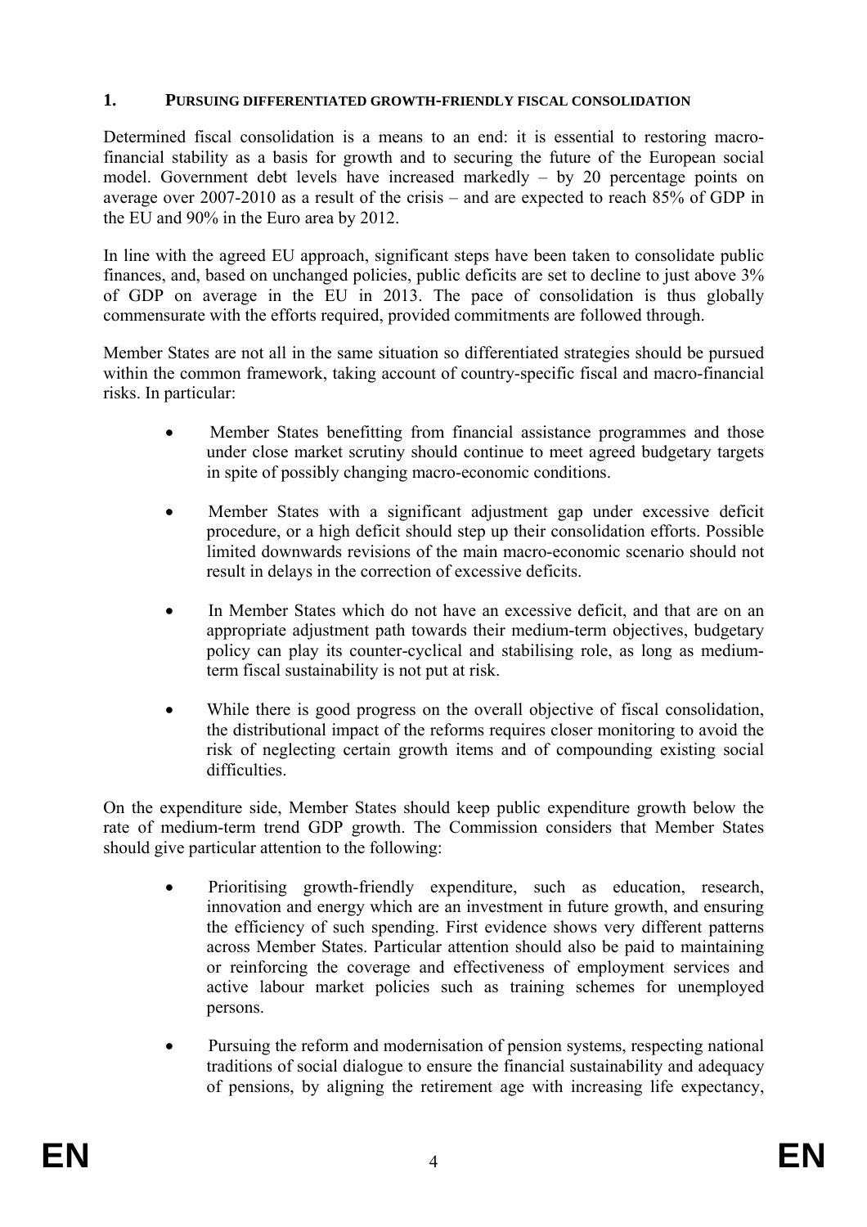#### **1. PURSUING DIFFERENTIATED GROWTH-FRIENDLY FISCAL CONSOLIDATION**

Determined fiscal consolidation is a means to an end: it is essential to restoring macrofinancial stability as a basis for growth and to securing the future of the European social model. Government debt levels have increased markedly – by 20 percentage points on average over 2007-2010 as a result of the crisis – and are expected to reach 85% of GDP in the EU and 90% in the Euro area by 2012.

In line with the agreed EU approach, significant steps have been taken to consolidate public finances, and, based on unchanged policies, public deficits are set to decline to just above 3% of GDP on average in the EU in 2013. The pace of consolidation is thus globally commensurate with the efforts required, provided commitments are followed through.

Member States are not all in the same situation so differentiated strategies should be pursued within the common framework, taking account of country-specific fiscal and macro-financial risks. In particular:

- Member States benefitting from financial assistance programmes and those under close market scrutiny should continue to meet agreed budgetary targets in spite of possibly changing macro-economic conditions.
- Member States with a significant adjustment gap under excessive deficit procedure, or a high deficit should step up their consolidation efforts. Possible limited downwards revisions of the main macro-economic scenario should not result in delays in the correction of excessive deficits.
- In Member States which do not have an excessive deficit, and that are on an appropriate adjustment path towards their medium-term objectives, budgetary policy can play its counter-cyclical and stabilising role, as long as mediumterm fiscal sustainability is not put at risk.
- While there is good progress on the overall objective of fiscal consolidation, the distributional impact of the reforms requires closer monitoring to avoid the risk of neglecting certain growth items and of compounding existing social difficulties.

On the expenditure side, Member States should keep public expenditure growth below the rate of medium-term trend GDP growth. The Commission considers that Member States should give particular attention to the following:

- Prioritising growth-friendly expenditure, such as education, research, innovation and energy which are an investment in future growth, and ensuring the efficiency of such spending. First evidence shows very different patterns across Member States. Particular attention should also be paid to maintaining or reinforcing the coverage and effectiveness of employment services and active labour market policies such as training schemes for unemployed persons.
- Pursuing the reform and modernisation of pension systems, respecting national traditions of social dialogue to ensure the financial sustainability and adequacy of pensions, by aligning the retirement age with increasing life expectancy,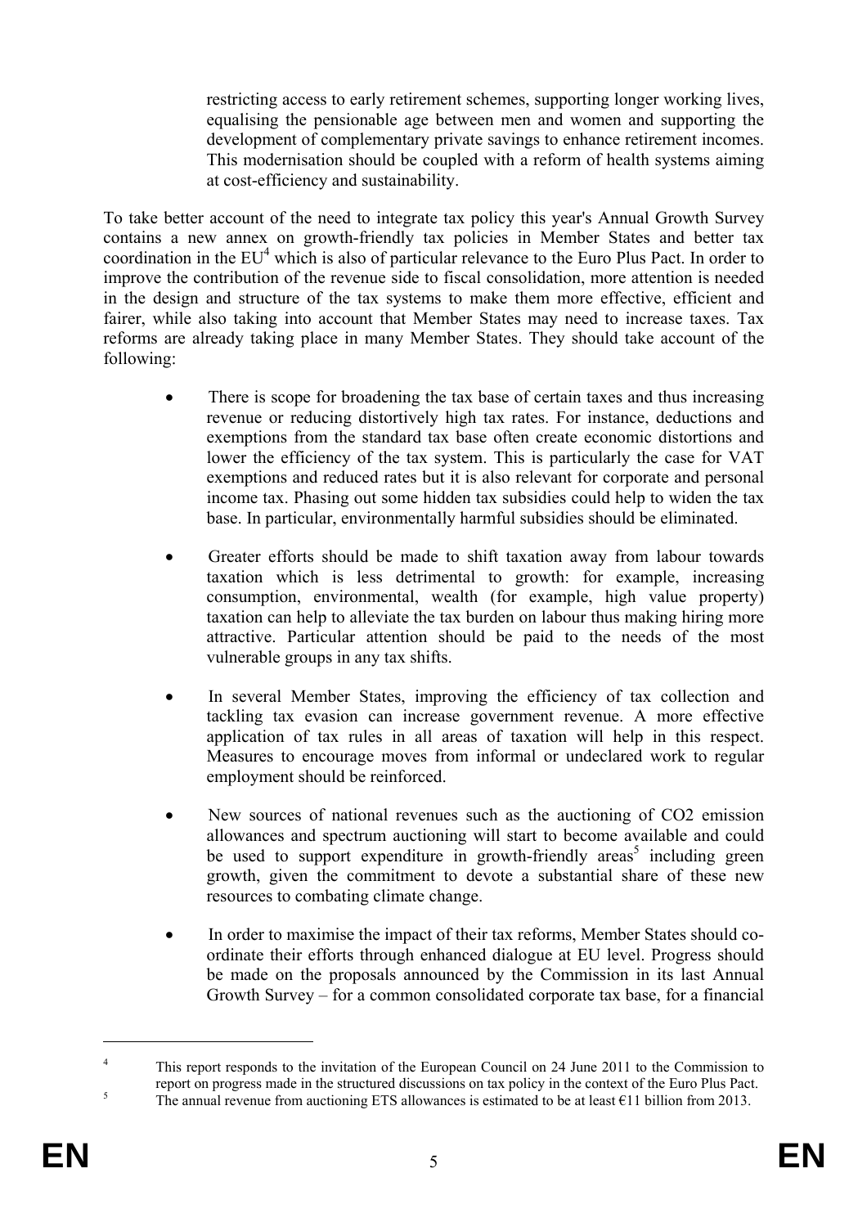restricting access to early retirement schemes, supporting longer working lives, equalising the pensionable age between men and women and supporting the development of complementary private savings to enhance retirement incomes. This modernisation should be coupled with a reform of health systems aiming at cost-efficiency and sustainability.

To take better account of the need to integrate tax policy this year's Annual Growth Survey contains a new annex on growth-friendly tax policies in Member States and better tax coordination in the  $EU^4$  which is also of particular relevance to the Euro Plus Pact. In order to improve the contribution of the revenue side to fiscal consolidation, more attention is needed in the design and structure of the tax systems to make them more effective, efficient and fairer, while also taking into account that Member States may need to increase taxes. Tax reforms are already taking place in many Member States. They should take account of the following:

- There is scope for broadening the tax base of certain taxes and thus increasing revenue or reducing distortively high tax rates. For instance, deductions and exemptions from the standard tax base often create economic distortions and lower the efficiency of the tax system. This is particularly the case for VAT exemptions and reduced rates but it is also relevant for corporate and personal income tax. Phasing out some hidden tax subsidies could help to widen the tax base. In particular, environmentally harmful subsidies should be eliminated.
- Greater efforts should be made to shift taxation away from labour towards taxation which is less detrimental to growth: for example, increasing consumption, environmental, wealth (for example, high value property) taxation can help to alleviate the tax burden on labour thus making hiring more attractive. Particular attention should be paid to the needs of the most vulnerable groups in any tax shifts.
- In several Member States, improving the efficiency of tax collection and tackling tax evasion can increase government revenue. A more effective application of tax rules in all areas of taxation will help in this respect. Measures to encourage moves from informal or undeclared work to regular employment should be reinforced.
- New sources of national revenues such as the auctioning of CO2 emission allowances and spectrum auctioning will start to become available and could be used to support expenditure in growth-friendly areas<sup>5</sup> including green growth, given the commitment to devote a substantial share of these new resources to combating climate change.
- In order to maximise the impact of their tax reforms, Member States should coordinate their efforts through enhanced dialogue at EU level. Progress should be made on the proposals announced by the Commission in its last Annual Growth Survey – for a common consolidated corporate tax base, for a financial

<sup>4</sup> This report responds to the invitation of the European Council on 24 June 2011 to the Commission to report on progress made in the structured discussions on tax policy in the context of the Euro Plus Pact.<br>The ennual revenue from quotioning ETS allowances is estimated to be at least  $611$  billion from 2012. The annual revenue from auctioning ETS allowances is estimated to be at least  $\epsilon$ 11 billion from 2013.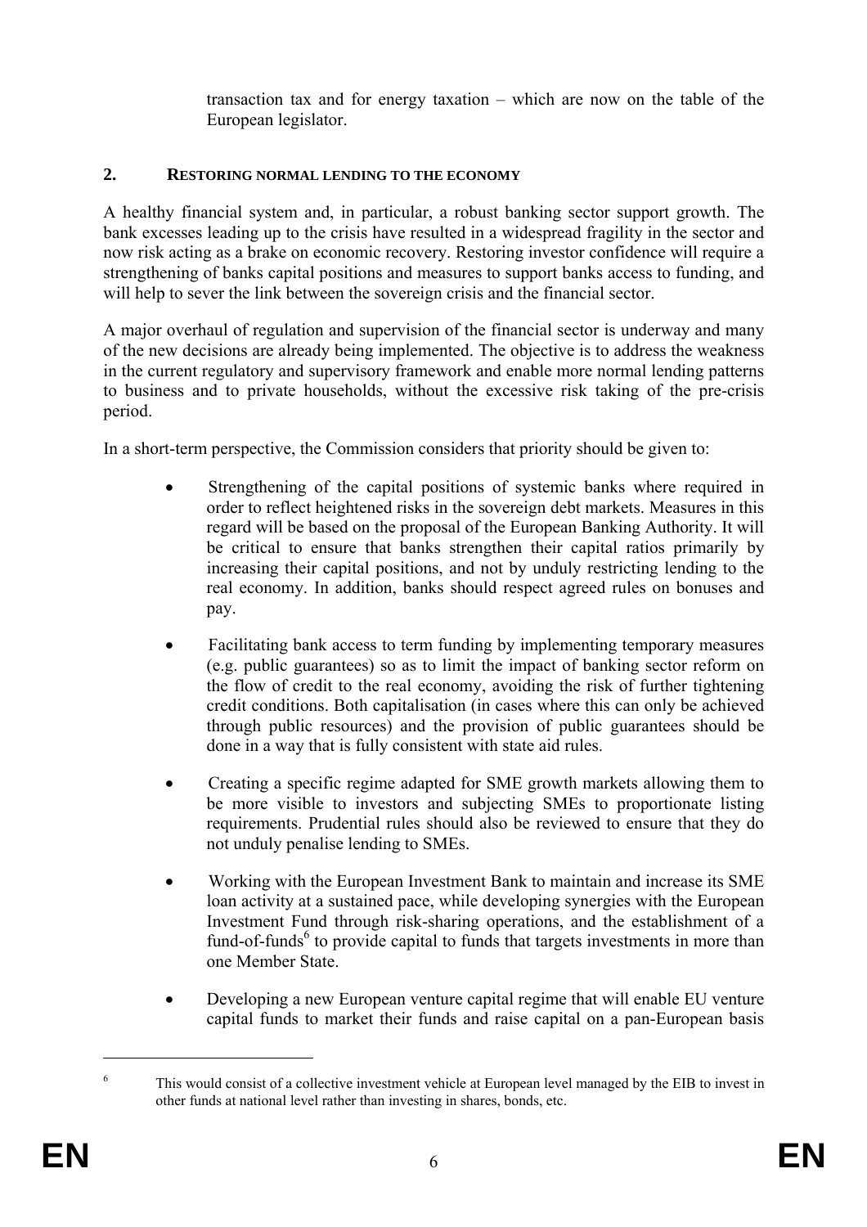transaction tax and for energy taxation – which are now on the table of the European legislator.

### **2. RESTORING NORMAL LENDING TO THE ECONOMY**

A healthy financial system and, in particular, a robust banking sector support growth. The bank excesses leading up to the crisis have resulted in a widespread fragility in the sector and now risk acting as a brake on economic recovery. Restoring investor confidence will require a strengthening of banks capital positions and measures to support banks access to funding, and will help to sever the link between the sovereign crisis and the financial sector.

A major overhaul of regulation and supervision of the financial sector is underway and many of the new decisions are already being implemented. The objective is to address the weakness in the current regulatory and supervisory framework and enable more normal lending patterns to business and to private households, without the excessive risk taking of the pre-crisis period.

In a short-term perspective, the Commission considers that priority should be given to:

- Strengthening of the capital positions of systemic banks where required in order to reflect heightened risks in the sovereign debt markets. Measures in this regard will be based on the proposal of the European Banking Authority. It will be critical to ensure that banks strengthen their capital ratios primarily by increasing their capital positions, and not by unduly restricting lending to the real economy. In addition, banks should respect agreed rules on bonuses and pay.
- Facilitating bank access to term funding by implementing temporary measures (e.g. public guarantees) so as to limit the impact of banking sector reform on the flow of credit to the real economy, avoiding the risk of further tightening credit conditions. Both capitalisation (in cases where this can only be achieved through public resources) and the provision of public guarantees should be done in a way that is fully consistent with state aid rules.
- Creating a specific regime adapted for SME growth markets allowing them to be more visible to investors and subjecting SMEs to proportionate listing requirements. Prudential rules should also be reviewed to ensure that they do not unduly penalise lending to SMEs.
- Working with the European Investment Bank to maintain and increase its SME loan activity at a sustained pace, while developing synergies with the European Investment Fund through risk-sharing operations, and the establishment of a fund-of-funds<sup>6</sup> to provide capital to funds that targets investments in more than one Member State.
- Developing a new European venture capital regime that will enable EU venture capital funds to market their funds and raise capital on a pan-European basis

<sup>6</sup> This would consist of a collective investment vehicle at European level managed by the EIB to invest in other funds at national level rather than investing in shares, bonds, etc.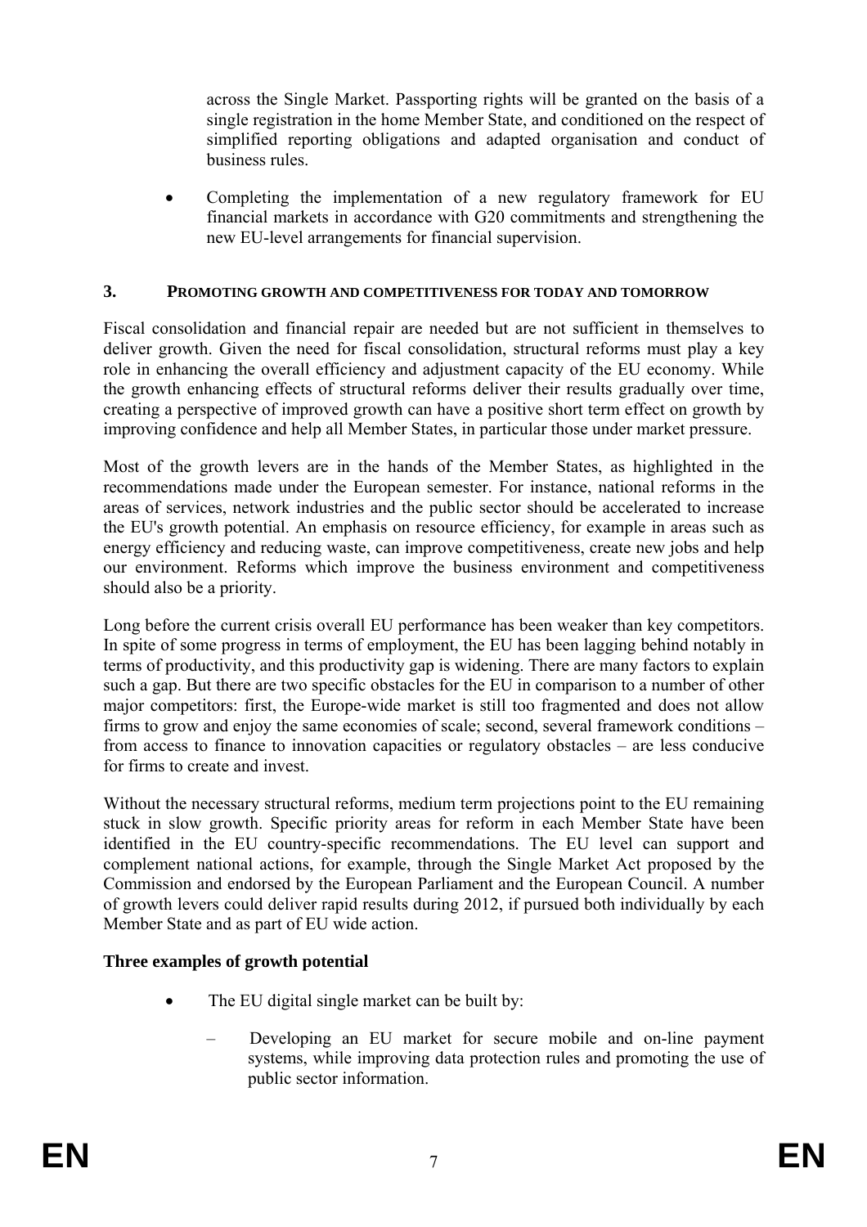across the Single Market. Passporting rights will be granted on the basis of a single registration in the home Member State, and conditioned on the respect of simplified reporting obligations and adapted organisation and conduct of business rules.

• Completing the implementation of a new regulatory framework for EU financial markets in accordance with G20 commitments and strengthening the new EU-level arrangements for financial supervision.

#### **3. PROMOTING GROWTH AND COMPETITIVENESS FOR TODAY AND TOMORROW**

Fiscal consolidation and financial repair are needed but are not sufficient in themselves to deliver growth. Given the need for fiscal consolidation, structural reforms must play a key role in enhancing the overall efficiency and adjustment capacity of the EU economy. While the growth enhancing effects of structural reforms deliver their results gradually over time, creating a perspective of improved growth can have a positive short term effect on growth by improving confidence and help all Member States, in particular those under market pressure.

Most of the growth levers are in the hands of the Member States, as highlighted in the recommendations made under the European semester. For instance, national reforms in the areas of services, network industries and the public sector should be accelerated to increase the EU's growth potential. An emphasis on resource efficiency, for example in areas such as energy efficiency and reducing waste, can improve competitiveness, create new jobs and help our environment. Reforms which improve the business environment and competitiveness should also be a priority.

Long before the current crisis overall EU performance has been weaker than key competitors. In spite of some progress in terms of employment, the EU has been lagging behind notably in terms of productivity, and this productivity gap is widening. There are many factors to explain such a gap. But there are two specific obstacles for the EU in comparison to a number of other major competitors: first, the Europe-wide market is still too fragmented and does not allow firms to grow and enjoy the same economies of scale; second, several framework conditions – from access to finance to innovation capacities or regulatory obstacles – are less conducive for firms to create and invest.

Without the necessary structural reforms, medium term projections point to the EU remaining stuck in slow growth. Specific priority areas for reform in each Member State have been identified in the EU country-specific recommendations. The EU level can support and complement national actions, for example, through the Single Market Act proposed by the Commission and endorsed by the European Parliament and the European Council. A number of growth levers could deliver rapid results during 2012, if pursued both individually by each Member State and as part of EU wide action.

#### **Three examples of growth potential**

- The EU digital single market can be built by:
	- Developing an EU market for secure mobile and on-line payment systems, while improving data protection rules and promoting the use of public sector information.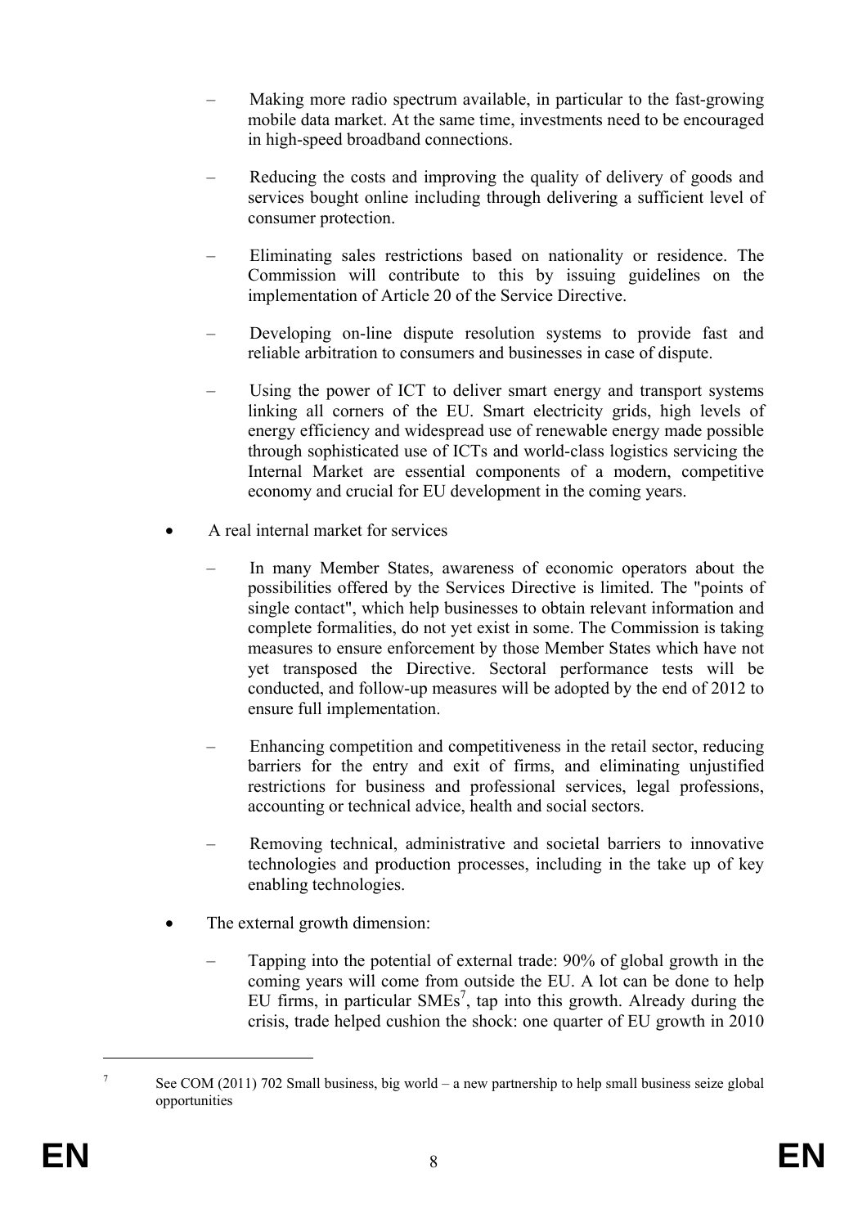- Making more radio spectrum available, in particular to the fast-growing mobile data market. At the same time, investments need to be encouraged in high-speed broadband connections.
- Reducing the costs and improving the quality of delivery of goods and services bought online including through delivering a sufficient level of consumer protection.
- Eliminating sales restrictions based on nationality or residence. The Commission will contribute to this by issuing guidelines on the implementation of Article 20 of the Service Directive.
- Developing on-line dispute resolution systems to provide fast and reliable arbitration to consumers and businesses in case of dispute.
- Using the power of ICT to deliver smart energy and transport systems linking all corners of the EU. Smart electricity grids, high levels of energy efficiency and widespread use of renewable energy made possible through sophisticated use of ICTs and world-class logistics servicing the Internal Market are essential components of a modern, competitive economy and crucial for EU development in the coming years.
- A real internal market for services
	- In many Member States, awareness of economic operators about the possibilities offered by the Services Directive is limited. The "points of single contact", which help businesses to obtain relevant information and complete formalities, do not yet exist in some. The Commission is taking measures to ensure enforcement by those Member States which have not yet transposed the Directive. Sectoral performance tests will be conducted, and follow-up measures will be adopted by the end of 2012 to ensure full implementation.
	- Enhancing competition and competitiveness in the retail sector, reducing barriers for the entry and exit of firms, and eliminating unjustified restrictions for business and professional services, legal professions, accounting or technical advice, health and social sectors.
	- Removing technical, administrative and societal barriers to innovative technologies and production processes, including in the take up of key enabling technologies.
- The external growth dimension:
	- Tapping into the potential of external trade: 90% of global growth in the coming years will come from outside the EU. A lot can be done to help EU firms, in particular  $SMEs^7$ , tap into this growth. Already during the crisis, trade helped cushion the shock: one quarter of EU growth in 2010

<sup>7</sup> See COM (2011) 702 Small business, big world – a new partnership to help small business seize global opportunities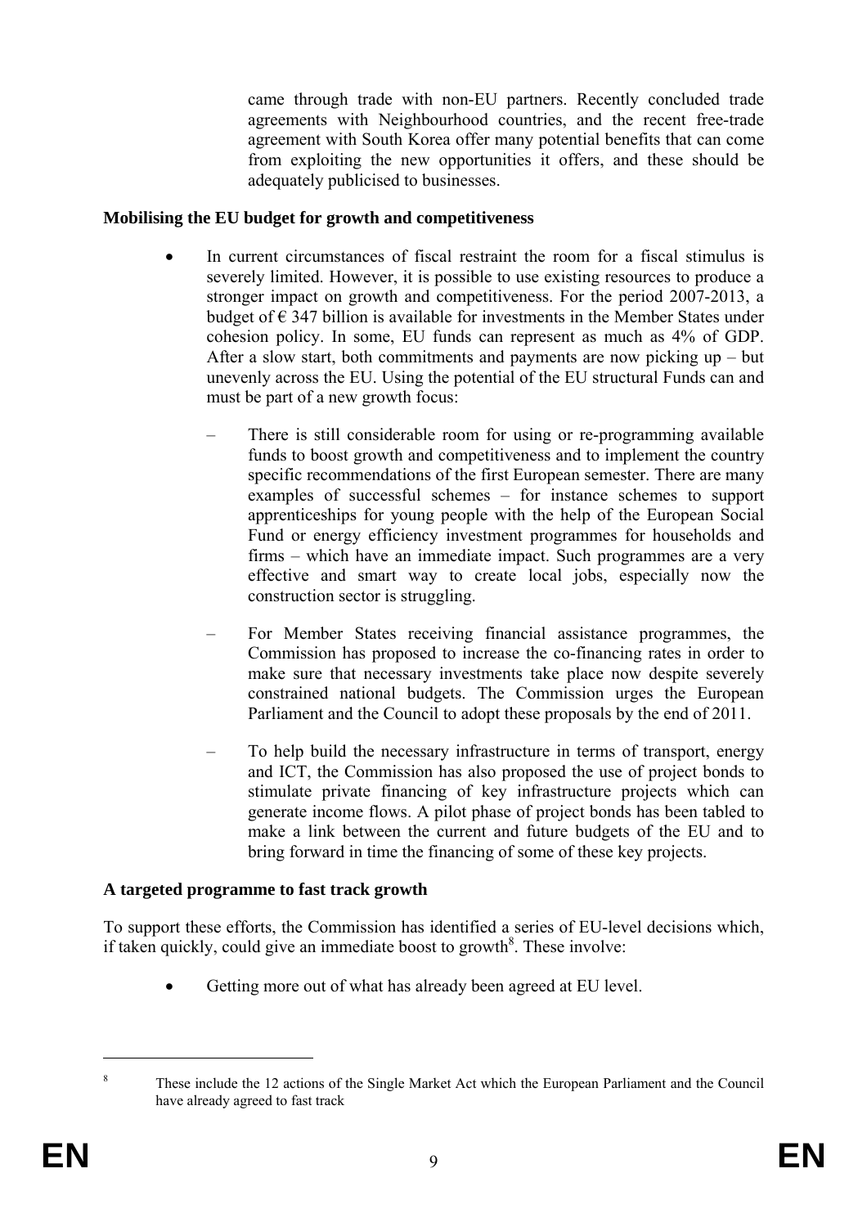came through trade with non-EU partners. Recently concluded trade agreements with Neighbourhood countries, and the recent free-trade agreement with South Korea offer many potential benefits that can come from exploiting the new opportunities it offers, and these should be adequately publicised to businesses.

#### **Mobilising the EU budget for growth and competitiveness**

- In current circumstances of fiscal restraint the room for a fiscal stimulus is severely limited. However, it is possible to use existing resources to produce a stronger impact on growth and competitiveness. For the period 2007-2013, a budget of  $\epsilon$  347 billion is available for investments in the Member States under cohesion policy. In some, EU funds can represent as much as 4% of GDP. After a slow start, both commitments and payments are now picking up – but unevenly across the EU. Using the potential of the EU structural Funds can and must be part of a new growth focus:
	- There is still considerable room for using or re-programming available funds to boost growth and competitiveness and to implement the country specific recommendations of the first European semester. There are many examples of successful schemes – for instance schemes to support apprenticeships for young people with the help of the European Social Fund or energy efficiency investment programmes for households and firms – which have an immediate impact. Such programmes are a very effective and smart way to create local jobs, especially now the construction sector is struggling.
	- For Member States receiving financial assistance programmes, the Commission has proposed to increase the co-financing rates in order to make sure that necessary investments take place now despite severely constrained national budgets. The Commission urges the European Parliament and the Council to adopt these proposals by the end of 2011.
	- To help build the necessary infrastructure in terms of transport, energy and ICT, the Commission has also proposed the use of project bonds to stimulate private financing of key infrastructure projects which can generate income flows. A pilot phase of project bonds has been tabled to make a link between the current and future budgets of the EU and to bring forward in time the financing of some of these key projects.

#### **A targeted programme to fast track growth**

To support these efforts, the Commission has identified a series of EU-level decisions which, if taken quickly, could give an immediate boost to growth<sup>8</sup>. These involve:

Getting more out of what has already been agreed at EU level.

<sup>8</sup> These include the 12 actions of the Single Market Act which the European Parliament and the Council have already agreed to fast track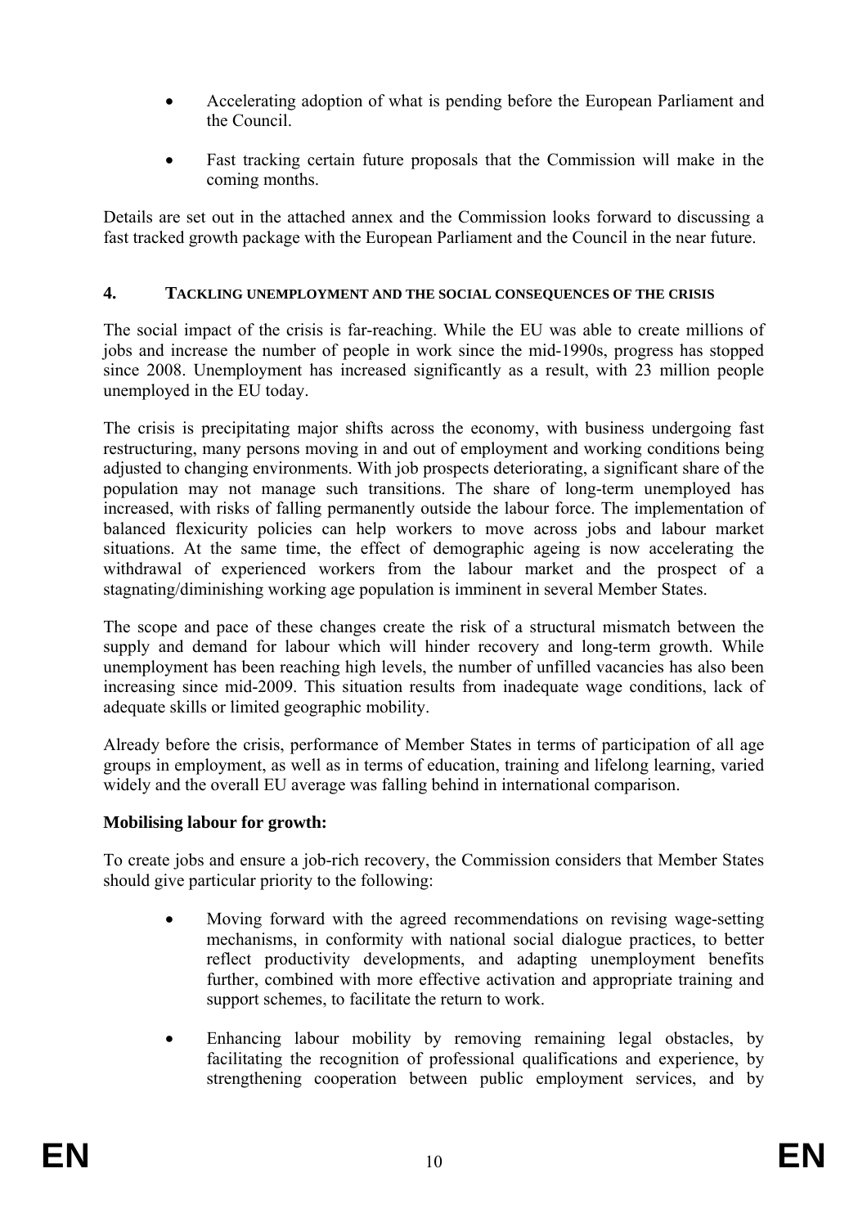- Accelerating adoption of what is pending before the European Parliament and the Council.
- Fast tracking certain future proposals that the Commission will make in the coming months.

Details are set out in the attached annex and the Commission looks forward to discussing a fast tracked growth package with the European Parliament and the Council in the near future.

### **4. TACKLING UNEMPLOYMENT AND THE SOCIAL CONSEQUENCES OF THE CRISIS**

The social impact of the crisis is far-reaching. While the EU was able to create millions of jobs and increase the number of people in work since the mid-1990s, progress has stopped since 2008. Unemployment has increased significantly as a result, with 23 million people unemployed in the EU today.

The crisis is precipitating major shifts across the economy, with business undergoing fast restructuring, many persons moving in and out of employment and working conditions being adjusted to changing environments. With job prospects deteriorating, a significant share of the population may not manage such transitions. The share of long-term unemployed has increased, with risks of falling permanently outside the labour force. The implementation of balanced flexicurity policies can help workers to move across jobs and labour market situations. At the same time, the effect of demographic ageing is now accelerating the withdrawal of experienced workers from the labour market and the prospect of a stagnating/diminishing working age population is imminent in several Member States.

The scope and pace of these changes create the risk of a structural mismatch between the supply and demand for labour which will hinder recovery and long-term growth. While unemployment has been reaching high levels, the number of unfilled vacancies has also been increasing since mid-2009. This situation results from inadequate wage conditions, lack of adequate skills or limited geographic mobility.

Already before the crisis, performance of Member States in terms of participation of all age groups in employment, as well as in terms of education, training and lifelong learning, varied widely and the overall EU average was falling behind in international comparison.

#### **Mobilising labour for growth:**

To create jobs and ensure a job-rich recovery, the Commission considers that Member States should give particular priority to the following:

- Moving forward with the agreed recommendations on revising wage-setting mechanisms, in conformity with national social dialogue practices, to better reflect productivity developments, and adapting unemployment benefits further, combined with more effective activation and appropriate training and support schemes, to facilitate the return to work.
- Enhancing labour mobility by removing remaining legal obstacles, by facilitating the recognition of professional qualifications and experience, by strengthening cooperation between public employment services, and by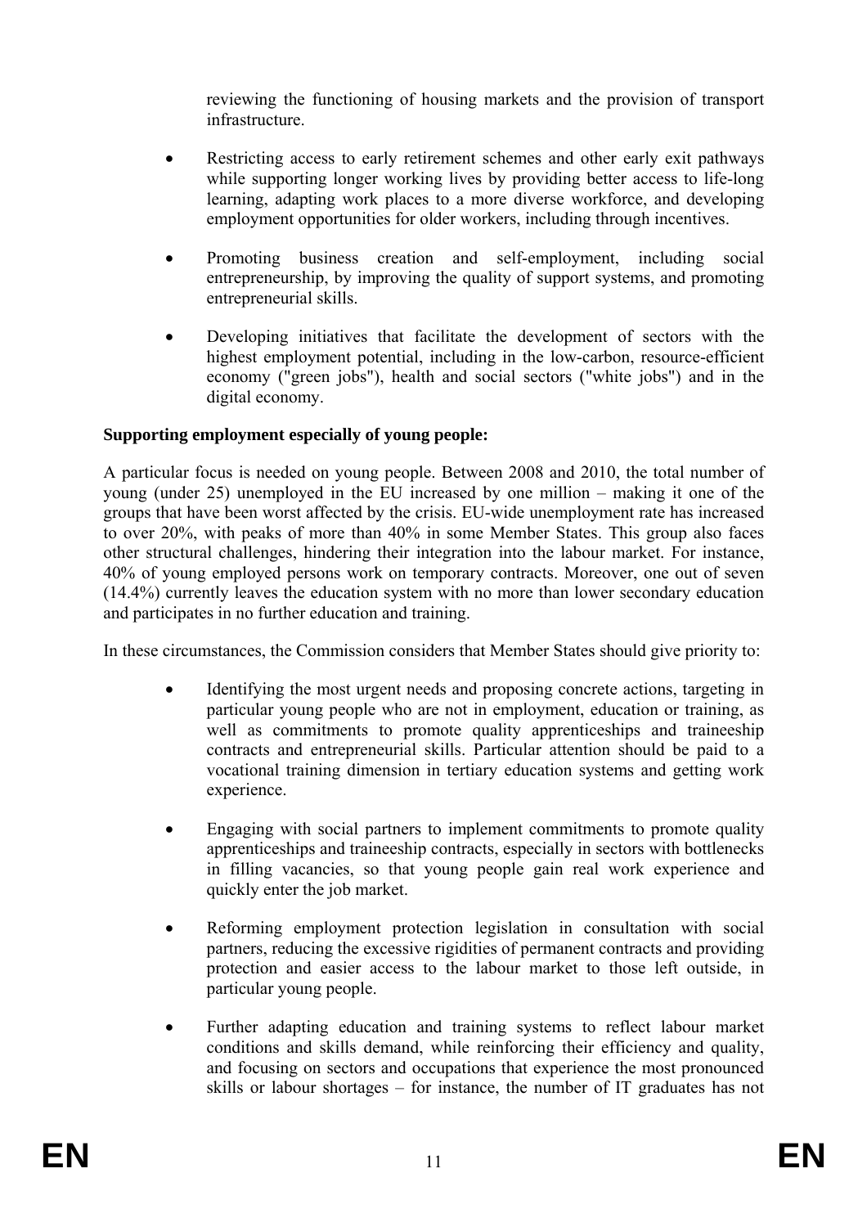reviewing the functioning of housing markets and the provision of transport infrastructure.

- Restricting access to early retirement schemes and other early exit pathways while supporting longer working lives by providing better access to life-long learning, adapting work places to a more diverse workforce, and developing employment opportunities for older workers, including through incentives.
- Promoting business creation and self-employment, including social entrepreneurship, by improving the quality of support systems, and promoting entrepreneurial skills.
- Developing initiatives that facilitate the development of sectors with the highest employment potential, including in the low-carbon, resource-efficient economy ("green jobs"), health and social sectors ("white jobs") and in the digital economy.

# **Supporting employment especially of young people:**

A particular focus is needed on young people. Between 2008 and 2010, the total number of young (under 25) unemployed in the EU increased by one million – making it one of the groups that have been worst affected by the crisis. EU-wide unemployment rate has increased to over 20%, with peaks of more than 40% in some Member States. This group also faces other structural challenges, hindering their integration into the labour market. For instance, 40% of young employed persons work on temporary contracts. Moreover, one out of seven (14.4%) currently leaves the education system with no more than lower secondary education and participates in no further education and training.

In these circumstances, the Commission considers that Member States should give priority to:

- Identifying the most urgent needs and proposing concrete actions, targeting in particular young people who are not in employment, education or training, as well as commitments to promote quality apprenticeships and traineeship contracts and entrepreneurial skills. Particular attention should be paid to a vocational training dimension in tertiary education systems and getting work experience.
- Engaging with social partners to implement commitments to promote quality apprenticeships and traineeship contracts, especially in sectors with bottlenecks in filling vacancies, so that young people gain real work experience and quickly enter the job market.
- Reforming employment protection legislation in consultation with social partners, reducing the excessive rigidities of permanent contracts and providing protection and easier access to the labour market to those left outside, in particular young people.
- Further adapting education and training systems to reflect labour market conditions and skills demand, while reinforcing their efficiency and quality, and focusing on sectors and occupations that experience the most pronounced skills or labour shortages – for instance, the number of IT graduates has not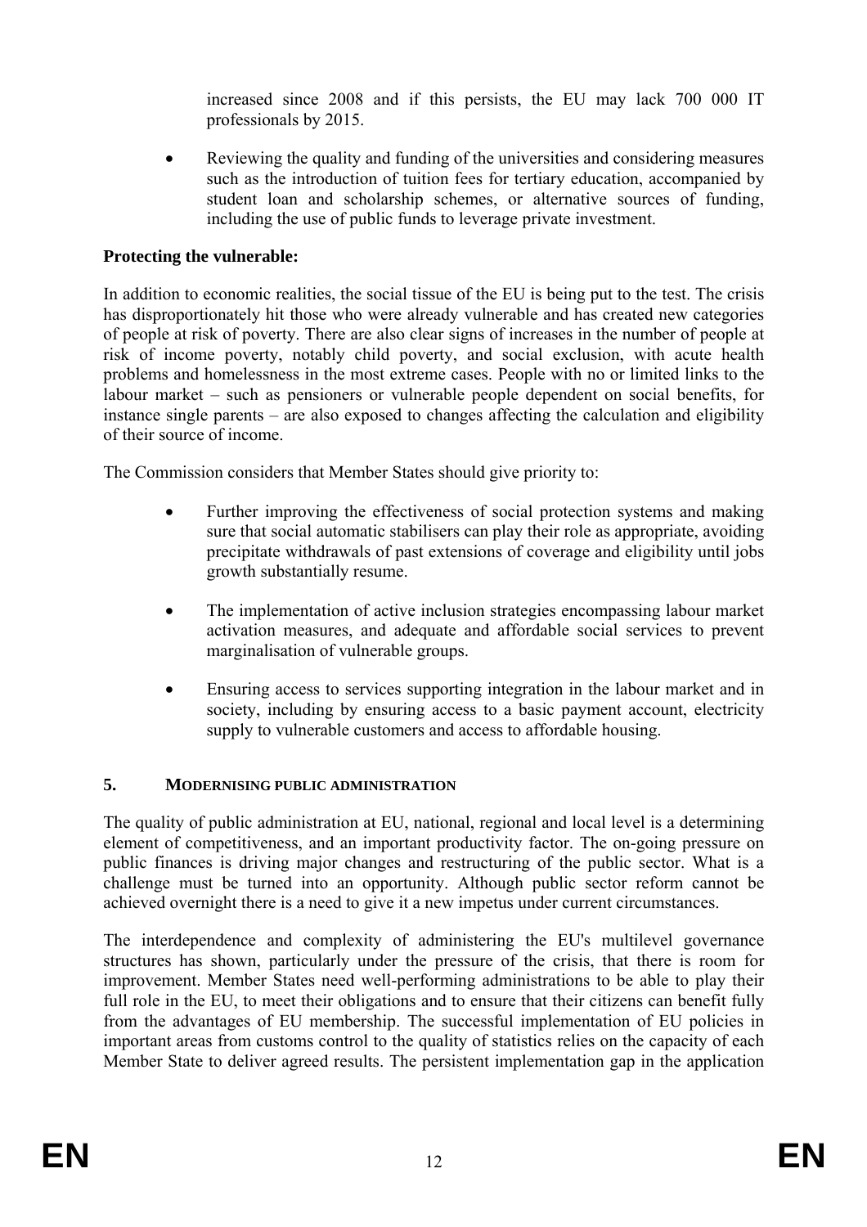increased since 2008 and if this persists, the EU may lack 700 000 IT professionals by 2015.

• Reviewing the quality and funding of the universities and considering measures such as the introduction of tuition fees for tertiary education, accompanied by student loan and scholarship schemes, or alternative sources of funding, including the use of public funds to leverage private investment.

### **Protecting the vulnerable:**

In addition to economic realities, the social tissue of the EU is being put to the test. The crisis has disproportionately hit those who were already vulnerable and has created new categories of people at risk of poverty. There are also clear signs of increases in the number of people at risk of income poverty, notably child poverty, and social exclusion, with acute health problems and homelessness in the most extreme cases. People with no or limited links to the labour market – such as pensioners or vulnerable people dependent on social benefits, for instance single parents – are also exposed to changes affecting the calculation and eligibility of their source of income.

The Commission considers that Member States should give priority to:

- Further improving the effectiveness of social protection systems and making sure that social automatic stabilisers can play their role as appropriate, avoiding precipitate withdrawals of past extensions of coverage and eligibility until jobs growth substantially resume.
- The implementation of active inclusion strategies encompassing labour market activation measures, and adequate and affordable social services to prevent marginalisation of vulnerable groups.
- Ensuring access to services supporting integration in the labour market and in society, including by ensuring access to a basic payment account, electricity supply to vulnerable customers and access to affordable housing.

### **5. MODERNISING PUBLIC ADMINISTRATION**

The quality of public administration at EU, national, regional and local level is a determining element of competitiveness, and an important productivity factor. The on-going pressure on public finances is driving major changes and restructuring of the public sector. What is a challenge must be turned into an opportunity. Although public sector reform cannot be achieved overnight there is a need to give it a new impetus under current circumstances.

The interdependence and complexity of administering the EU's multilevel governance structures has shown, particularly under the pressure of the crisis, that there is room for improvement. Member States need well-performing administrations to be able to play their full role in the EU, to meet their obligations and to ensure that their citizens can benefit fully from the advantages of EU membership. The successful implementation of EU policies in important areas from customs control to the quality of statistics relies on the capacity of each Member State to deliver agreed results. The persistent implementation gap in the application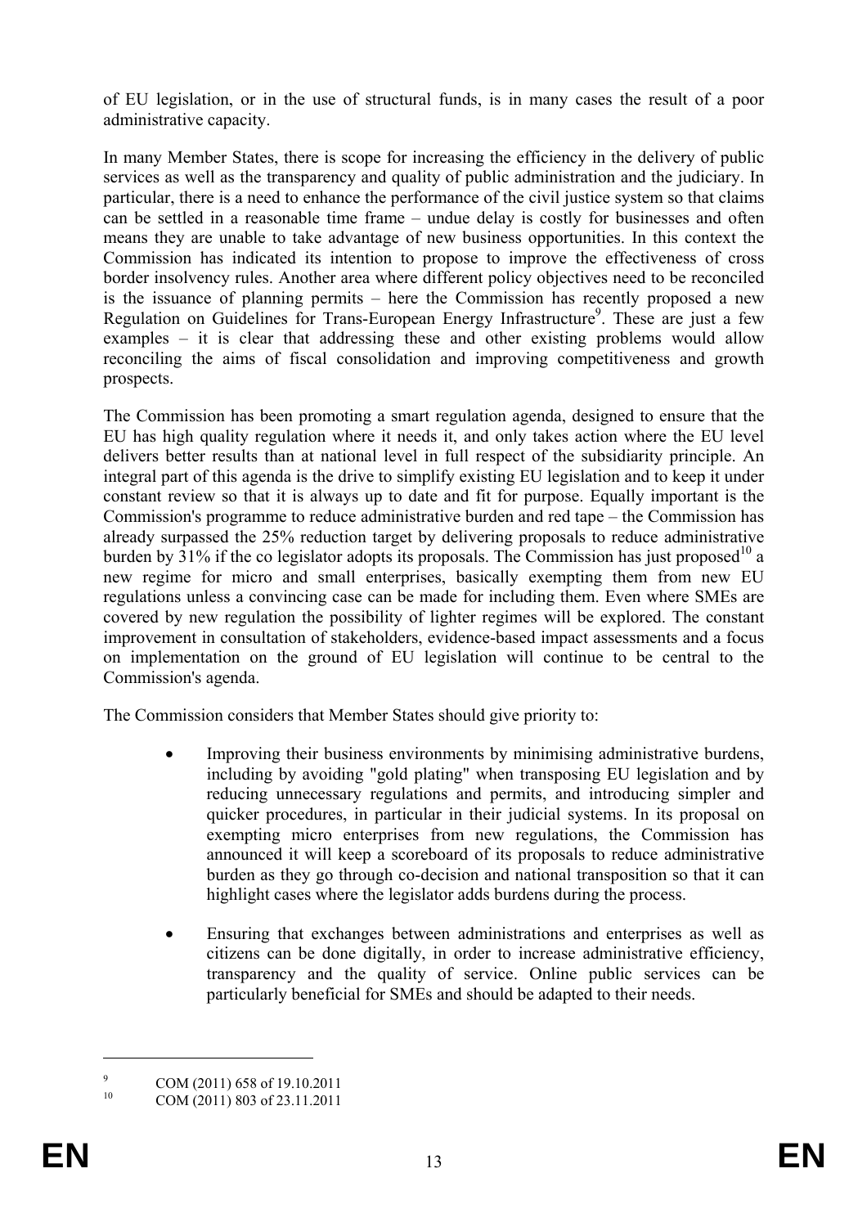of EU legislation, or in the use of structural funds, is in many cases the result of a poor administrative capacity.

In many Member States, there is scope for increasing the efficiency in the delivery of public services as well as the transparency and quality of public administration and the judiciary. In particular, there is a need to enhance the performance of the civil justice system so that claims can be settled in a reasonable time frame – undue delay is costly for businesses and often means they are unable to take advantage of new business opportunities. In this context the Commission has indicated its intention to propose to improve the effectiveness of cross border insolvency rules. Another area where different policy objectives need to be reconciled is the issuance of planning permits – here the Commission has recently proposed a new Regulation on Guidelines for Trans-European Energy Infrastructure<sup>9</sup>. These are just a few examples – it is clear that addressing these and other existing problems would allow reconciling the aims of fiscal consolidation and improving competitiveness and growth prospects.

The Commission has been promoting a smart regulation agenda, designed to ensure that the EU has high quality regulation where it needs it, and only takes action where the EU level delivers better results than at national level in full respect of the subsidiarity principle. An integral part of this agenda is the drive to simplify existing EU legislation and to keep it under constant review so that it is always up to date and fit for purpose. Equally important is the Commission's programme to reduce administrative burden and red tape – the Commission has already surpassed the 25% reduction target by delivering proposals to reduce administrative burden by  $31\%$  if the co legislator adopts its proposals. The Commission has just proposed<sup>10</sup> a new regime for micro and small enterprises, basically exempting them from new EU regulations unless a convincing case can be made for including them. Even where SMEs are covered by new regulation the possibility of lighter regimes will be explored. The constant improvement in consultation of stakeholders, evidence-based impact assessments and a focus on implementation on the ground of EU legislation will continue to be central to the Commission's agenda.

The Commission considers that Member States should give priority to:

- Improving their business environments by minimising administrative burdens, including by avoiding "gold plating" when transposing EU legislation and by reducing unnecessary regulations and permits, and introducing simpler and quicker procedures, in particular in their judicial systems. In its proposal on exempting micro enterprises from new regulations, the Commission has announced it will keep a scoreboard of its proposals to reduce administrative burden as they go through co-decision and national transposition so that it can highlight cases where the legislator adds burdens during the process.
- Ensuring that exchanges between administrations and enterprises as well as citizens can be done digitally, in order to increase administrative efficiency, transparency and the quality of service. Online public services can be particularly beneficial for SMEs and should be adapted to their needs.

 $\alpha$  $\frac{9}{10}$  COM (2011) 658 of 19.10.2011

COM (2011) 803 of 23.11.2011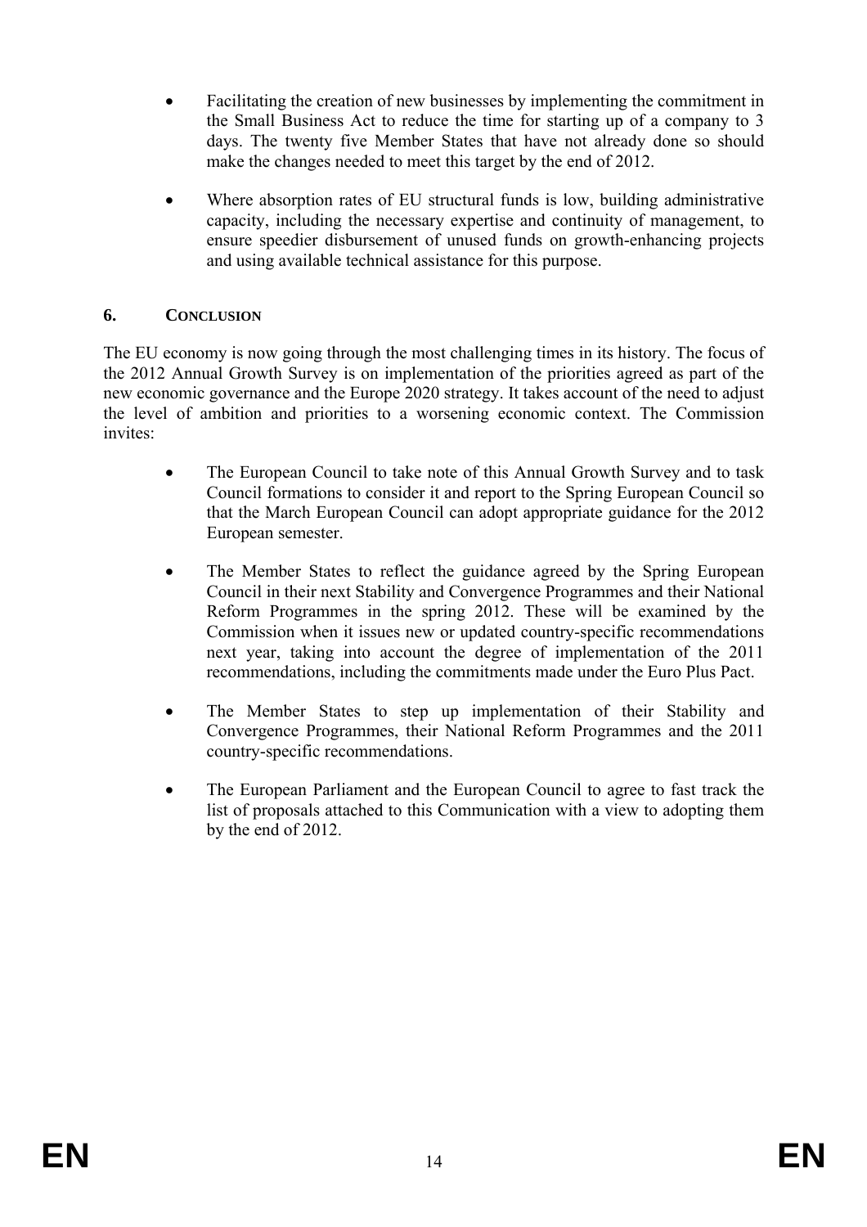- Facilitating the creation of new businesses by implementing the commitment in the Small Business Act to reduce the time for starting up of a company to 3 days. The twenty five Member States that have not already done so should make the changes needed to meet this target by the end of 2012.
- Where absorption rates of EU structural funds is low, building administrative capacity, including the necessary expertise and continuity of management, to ensure speedier disbursement of unused funds on growth-enhancing projects and using available technical assistance for this purpose.

# **6. CONCLUSION**

The EU economy is now going through the most challenging times in its history. The focus of the 2012 Annual Growth Survey is on implementation of the priorities agreed as part of the new economic governance and the Europe 2020 strategy. It takes account of the need to adjust the level of ambition and priorities to a worsening economic context. The Commission invites:

- The European Council to take note of this Annual Growth Survey and to task Council formations to consider it and report to the Spring European Council so that the March European Council can adopt appropriate guidance for the 2012 European semester.
- The Member States to reflect the guidance agreed by the Spring European Council in their next Stability and Convergence Programmes and their National Reform Programmes in the spring 2012. These will be examined by the Commission when it issues new or updated country-specific recommendations next year, taking into account the degree of implementation of the 2011 recommendations, including the commitments made under the Euro Plus Pact.
- The Member States to step up implementation of their Stability and Convergence Programmes, their National Reform Programmes and the 2011 country-specific recommendations.
- The European Parliament and the European Council to agree to fast track the list of proposals attached to this Communication with a view to adopting them by the end of 2012.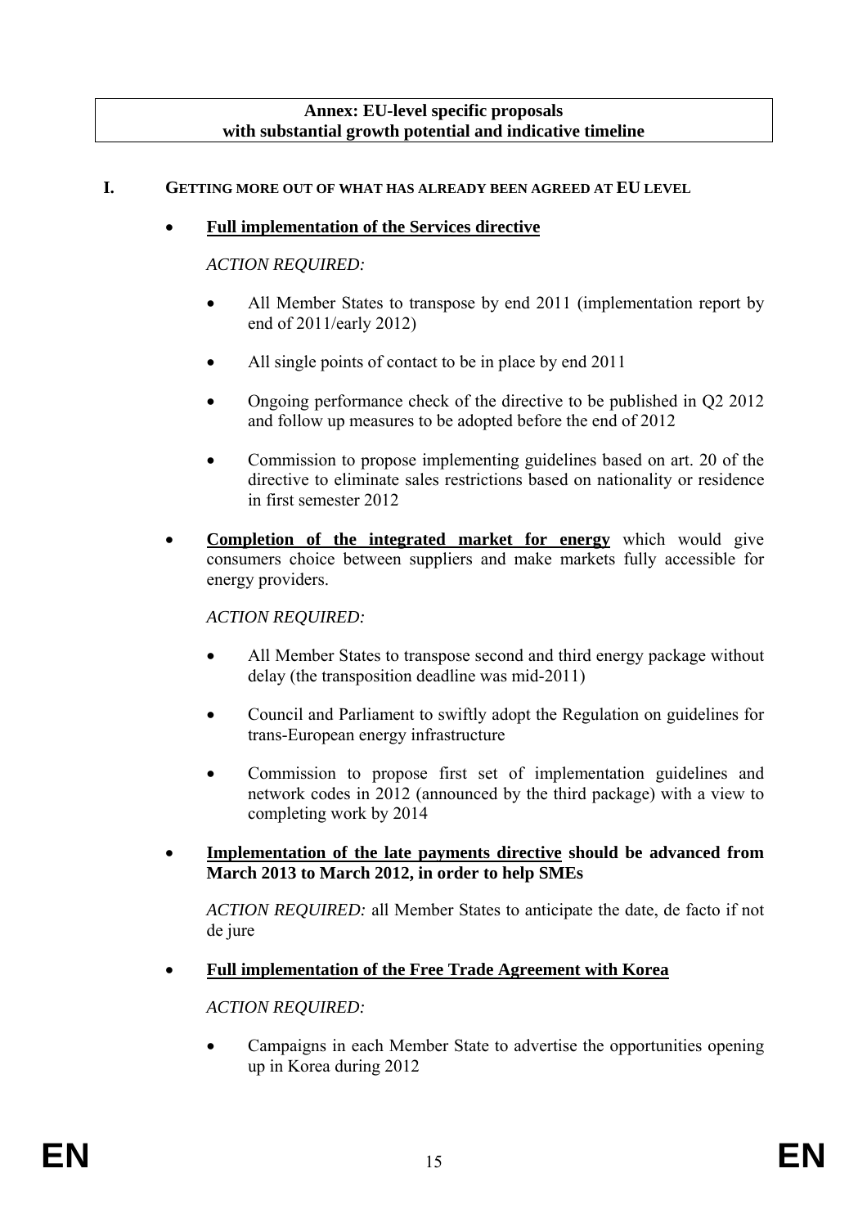#### **Annex: EU-level specific proposals with substantial growth potential and indicative timeline**

### **I. GETTING MORE OUT OF WHAT HAS ALREADY BEEN AGREED AT EU LEVEL**

### • **Full implementation of the Services directive**

### *ACTION REQUIRED:*

- All Member States to transpose by end 2011 (implementation report by end of 2011/early 2012)
- All single points of contact to be in place by end 2011
- Ongoing performance check of the directive to be published in Q2 2012 and follow up measures to be adopted before the end of 2012
- Commission to propose implementing guidelines based on art. 20 of the directive to eliminate sales restrictions based on nationality or residence in first semester 2012
- **Completion of the integrated market for energy** which would give consumers choice between suppliers and make markets fully accessible for energy providers.

### *ACTION REQUIRED:*

- All Member States to transpose second and third energy package without delay (the transposition deadline was mid-2011)
- Council and Parliament to swiftly adopt the Regulation on guidelines for trans-European energy infrastructure
- Commission to propose first set of implementation guidelines and network codes in 2012 (announced by the third package) with a view to completing work by 2014
- **Implementation of the late payments directive should be advanced from March 2013 to March 2012, in order to help SMEs**

*ACTION REQUIRED:* all Member States to anticipate the date, de facto if not de jure

• **Full implementation of the Free Trade Agreement with Korea** 

### *ACTION REQUIRED:*

• Campaigns in each Member State to advertise the opportunities opening up in Korea during 2012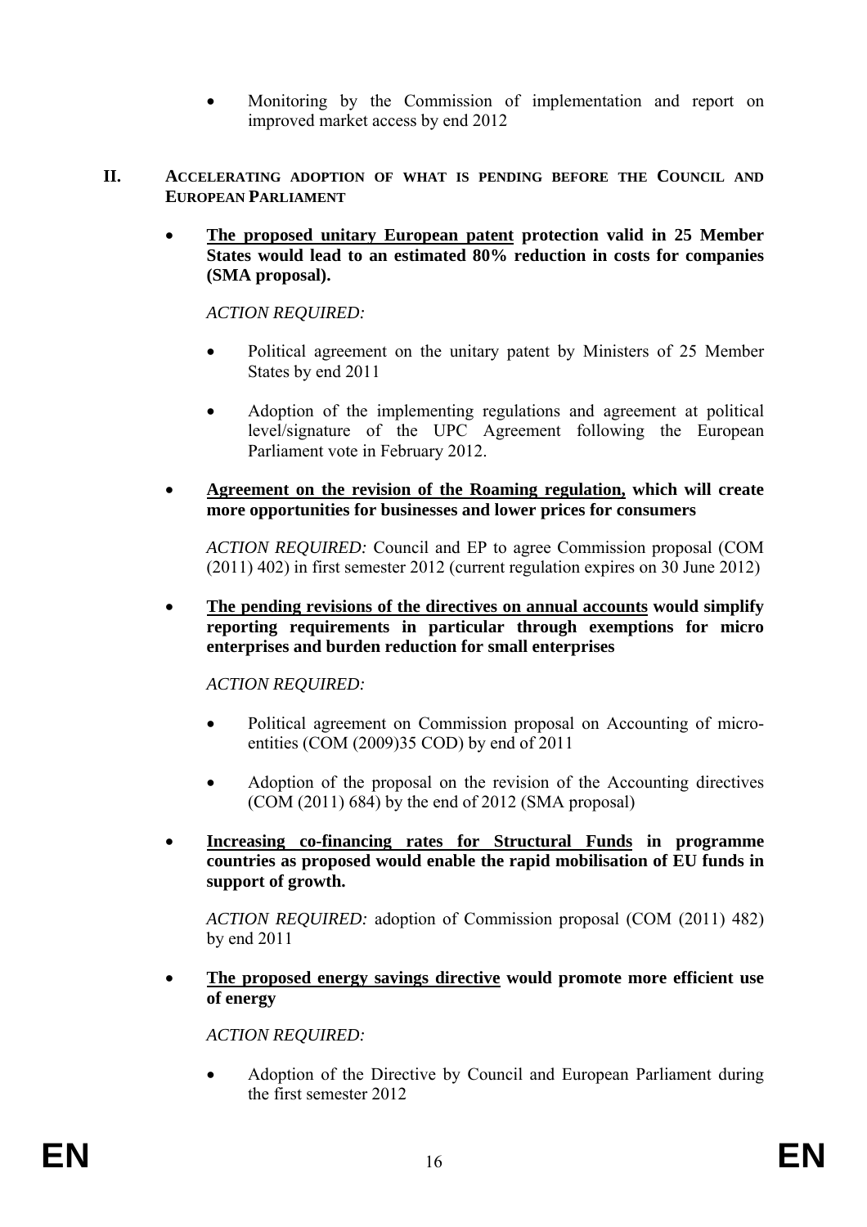- Monitoring by the Commission of implementation and report on improved market access by end 2012
- **II. ACCELERATING ADOPTION OF WHAT IS PENDING BEFORE THE COUNCIL AND EUROPEAN PARLIAMENT**
	- **The proposed unitary European patent protection valid in 25 Member States would lead to an estimated 80% reduction in costs for companies (SMA proposal).**

*ACTION REQUIRED:* 

- Political agreement on the unitary patent by Ministers of 25 Member States by end 2011
- Adoption of the implementing regulations and agreement at political level/signature of the UPC Agreement following the European Parliament vote in February 2012.
- **Agreement on the revision of the Roaming regulation, which will create more opportunities for businesses and lower prices for consumers**

*ACTION REQUIRED:* Council and EP to agree Commission proposal (COM (2011) 402) in first semester 2012 (current regulation expires on 30 June 2012)

• **The pending revisions of the directives on annual accounts would simplify reporting requirements in particular through exemptions for micro enterprises and burden reduction for small enterprises** 

*ACTION REQUIRED:* 

- Political agreement on Commission proposal on Accounting of microentities (COM (2009)35 COD) by end of 2011
- Adoption of the proposal on the revision of the Accounting directives (COM (2011) 684) by the end of 2012 (SMA proposal)
- **Increasing co-financing rates for Structural Funds in programme countries as proposed would enable the rapid mobilisation of EU funds in support of growth.**

*ACTION REQUIRED:* adoption of Commission proposal (COM (2011) 482) by end 2011

• **The proposed energy savings directive would promote more efficient use of energy** 

*ACTION REQUIRED:* 

• Adoption of the Directive by Council and European Parliament during the first semester 2012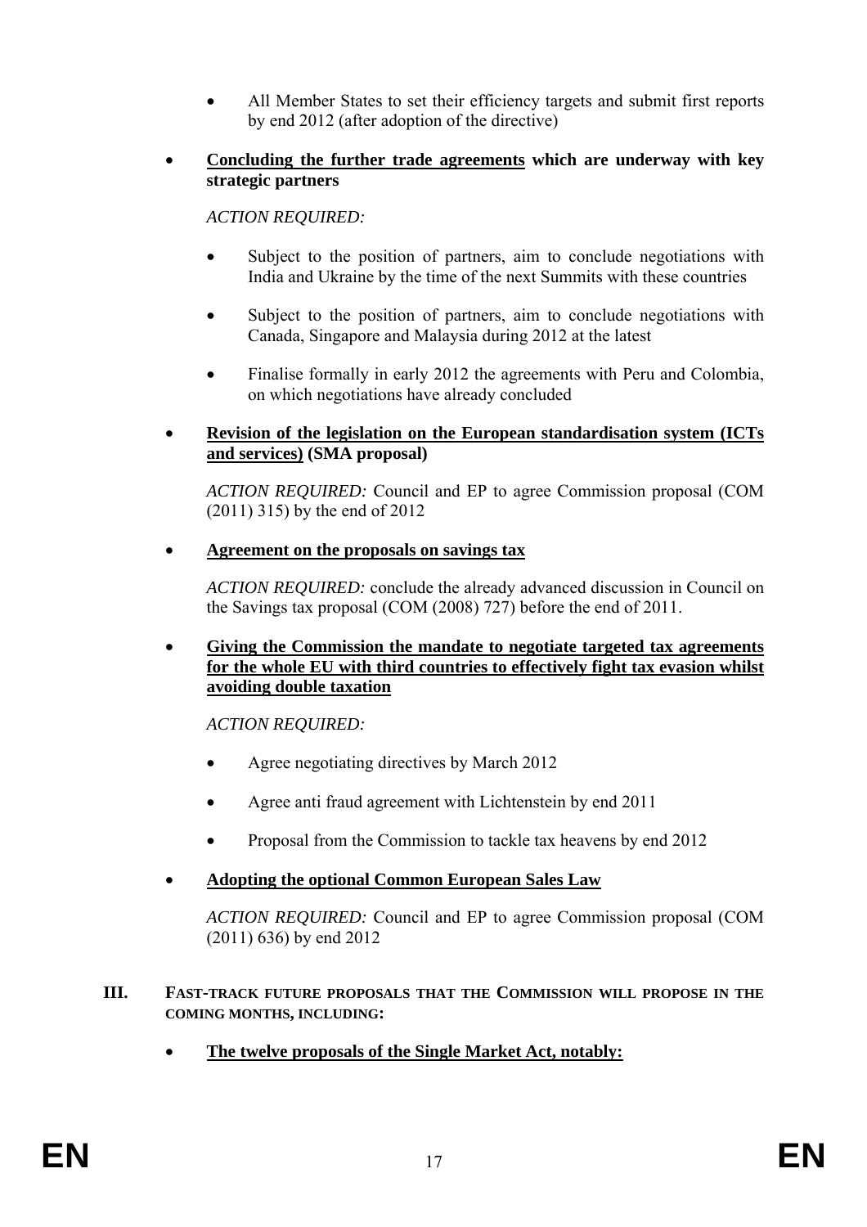- All Member States to set their efficiency targets and submit first reports by end 2012 (after adoption of the directive)
- **Concluding the further trade agreements which are underway with key strategic partners**

*ACTION REQUIRED:* 

- Subject to the position of partners, aim to conclude negotiations with India and Ukraine by the time of the next Summits with these countries
- Subject to the position of partners, aim to conclude negotiations with Canada, Singapore and Malaysia during 2012 at the latest
- Finalise formally in early 2012 the agreements with Peru and Colombia, on which negotiations have already concluded
- **Revision of the legislation on the European standardisation system (ICTs and services) (SMA proposal)**

*ACTION REQUIRED:* Council and EP to agree Commission proposal (COM (2011) 315) by the end of 2012

• **Agreement on the proposals on savings tax**

*ACTION REQUIRED:* conclude the already advanced discussion in Council on the Savings tax proposal (COM (2008) 727) before the end of 2011.

• **Giving the Commission the mandate to negotiate targeted tax agreements for the whole EU with third countries to effectively fight tax evasion whilst avoiding double taxation**

*ACTION REQUIRED:* 

- Agree negotiating directives by March 2012
- Agree anti fraud agreement with Lichtenstein by end 2011
- Proposal from the Commission to tackle tax heavens by end 2012
- **Adopting the optional Common European Sales Law**

*ACTION REQUIRED:* Council and EP to agree Commission proposal (COM (2011) 636) by end 2012

#### **III. FAST-TRACK FUTURE PROPOSALS THAT THE COMMISSION WILL PROPOSE IN THE COMING MONTHS, INCLUDING:**

• **The twelve proposals of the Single Market Act, notably:**